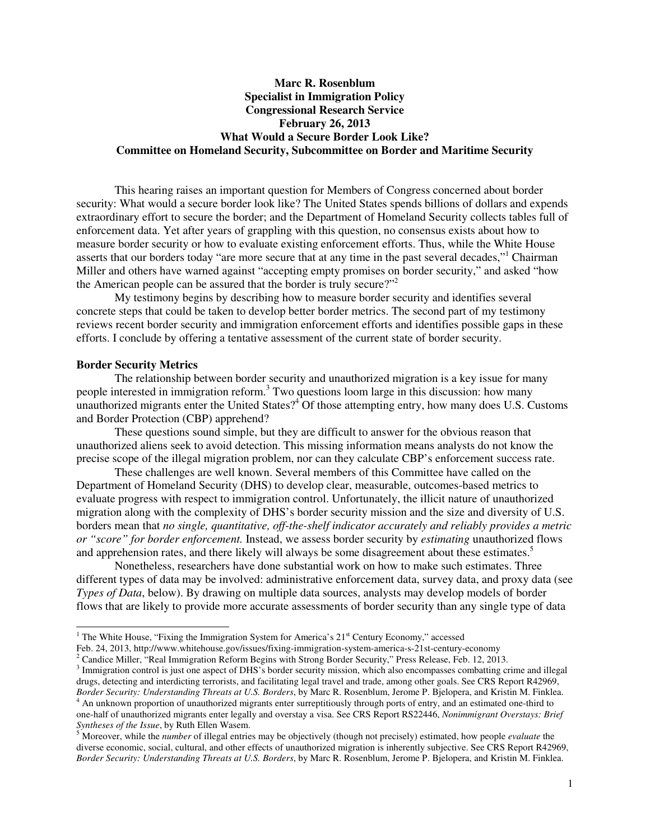# **Marc R. Rosenblum Specialist in Immigration Policy Congressional Research Service February 26, 2013 What Would a Secure Border Look Like? Committee on Homeland Security, Subcommittee on Border and Maritime Security**

This hearing raises an important question for Members of Congress concerned about border security: What would a secure border look like? The United States spends billions of dollars and expends extraordinary effort to secure the border; and the Department of Homeland Security collects tables full of enforcement data. Yet after years of grappling with this question, no consensus exists about how to measure border security or how to evaluate existing enforcement efforts. Thus, while the White House asserts that our borders today "are more secure that at any time in the past several decades,"<sup>1</sup> Chairman Miller and others have warned against "accepting empty promises on border security," and asked "how the American people can be assured that the border is truly secure?"<sup>2</sup>

My testimony begins by describing how to measure border security and identifies several concrete steps that could be taken to develop better border metrics. The second part of my testimony reviews recent border security and immigration enforcement efforts and identifies possible gaps in these efforts. I conclude by offering a tentative assessment of the current state of border security.

#### **Border Security Metrics**

-

The relationship between border security and unauthorized migration is a key issue for many people interested in immigration reform.<sup>3</sup> Two questions loom large in this discussion: how many unauthorized migrants enter the United States? $4^{\circ}$ Of those attempting entry, how many does U.S. Customs and Border Protection (CBP) apprehend?

These questions sound simple, but they are difficult to answer for the obvious reason that unauthorized aliens seek to avoid detection. This missing information means analysts do not know the precise scope of the illegal migration problem, nor can they calculate CBP's enforcement success rate.

These challenges are well known. Several members of this Committee have called on the Department of Homeland Security (DHS) to develop clear, measurable, outcomes-based metrics to evaluate progress with respect to immigration control. Unfortunately, the illicit nature of unauthorized migration along with the complexity of DHS's border security mission and the size and diversity of U.S. borders mean that *no single, quantitative, off-the-shelf indicator accurately and reliably provides a metric or "score" for border enforcement.* Instead, we assess border security by *estimating* unauthorized flows and apprehension rates, and there likely will always be some disagreement about these estimates.<sup>5</sup>

Nonetheless, researchers have done substantial work on how to make such estimates. Three different types of data may be involved: administrative enforcement data, survey data, and proxy data (see *Types of Data*, below). By drawing on multiple data sources, analysts may develop models of border flows that are likely to provide more accurate assessments of border security than any single type of data

Feb. 24, 2013, http://www.whitehouse.gov/issues/fixing-immigration-system-america-s-21st-century-economy

<sup>2</sup> Candice Miller, "Real Immigration Reform Begins with Strong Border Security," Press Release, Feb. 12, 2013.

<sup>&</sup>lt;sup>1</sup> The White House, "Fixing the Immigration System for America's  $21<sup>st</sup>$  Century Economy," accessed

<sup>&</sup>lt;sup>3</sup> Immigration control is just one aspect of DHS's border security mission, which also encompasses combatting crime and illegal drugs, detecting and interdicting terrorists, and facilitating legal travel and trade, among other goals. See CRS Report R42969, *Border Security: Understanding Threats at U.S. Borders*, by Marc R. Rosenblum, Jerome P. Bjelopera, and Kristin M. Finklea. 4 An unknown proportion of unauthorized migrants enter surreptitiously through ports of entry, and an estimated one-third to

one-half of unauthorized migrants enter legally and overstay a visa. See CRS Report RS22446, *Nonimmigrant Overstays: Brief Syntheses of the Issue*, by Ruth Ellen Wasem. 5 Moreover, while the *number* of illegal entries may be objectively (though not precisely) estimated, how people *evaluate* the

diverse economic, social, cultural, and other effects of unauthorized migration is inherently subjective. See CRS Report R42969, *Border Security: Understanding Threats at U.S. Borders*, by Marc R. Rosenblum, Jerome P. Bjelopera, and Kristin M. Finklea.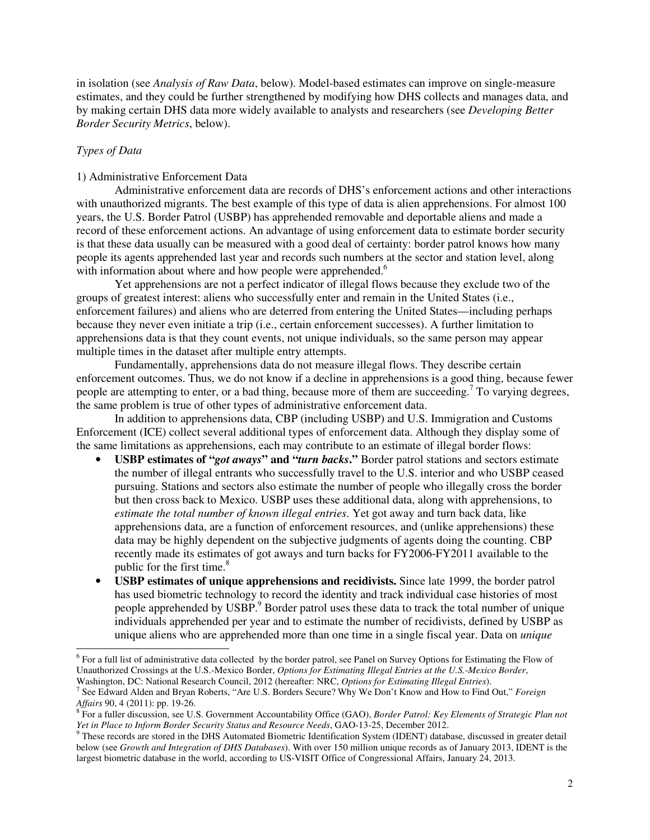in isolation (see *Analysis of Raw Data*, below). Model-based estimates can improve on single-measure estimates, and they could be further strengthened by modifying how DHS collects and manages data, and by making certain DHS data more widely available to analysts and researchers (see *Developing Better Border Security Metrics*, below).

# *Types of Data*

j

### 1) Administrative Enforcement Data

Administrative enforcement data are records of DHS's enforcement actions and other interactions with unauthorized migrants. The best example of this type of data is alien apprehensions. For almost 100 years, the U.S. Border Patrol (USBP) has apprehended removable and deportable aliens and made a record of these enforcement actions. An advantage of using enforcement data to estimate border security is that these data usually can be measured with a good deal of certainty: border patrol knows how many people its agents apprehended last year and records such numbers at the sector and station level, along with information about where and how people were apprehended.<sup>6</sup>

Yet apprehensions are not a perfect indicator of illegal flows because they exclude two of the groups of greatest interest: aliens who successfully enter and remain in the United States (i.e., enforcement failures) and aliens who are deterred from entering the United States—including perhaps because they never even initiate a trip (i.e., certain enforcement successes). A further limitation to apprehensions data is that they count events, not unique individuals, so the same person may appear multiple times in the dataset after multiple entry attempts.

Fundamentally, apprehensions data do not measure illegal flows. They describe certain enforcement outcomes. Thus, we do not know if a decline in apprehensions is a good thing, because fewer people are attempting to enter, or a bad thing, because more of them are succeeding.<sup>7</sup> To varying degrees, the same problem is true of other types of administrative enforcement data.

In addition to apprehensions data, CBP (including USBP) and U.S. Immigration and Customs Enforcement (ICE) collect several additional types of enforcement data. Although they display some of the same limitations as apprehensions, each may contribute to an estimate of illegal border flows:

- **USBP estimates of "***got aways***" and "***turn backs***."** Border patrol stations and sectors estimate the number of illegal entrants who successfully travel to the U.S. interior and who USBP ceased pursuing. Stations and sectors also estimate the number of people who illegally cross the border but then cross back to Mexico. USBP uses these additional data, along with apprehensions, to *estimate the total number of known illegal entries*. Yet got away and turn back data, like apprehensions data, are a function of enforcement resources, and (unlike apprehensions) these data may be highly dependent on the subjective judgments of agents doing the counting. CBP recently made its estimates of got aways and turn backs for FY2006-FY2011 available to the public for the first time. $8<sup>8</sup>$
- **USBP estimates of unique apprehensions and recidivists.** Since late 1999, the border patrol has used biometric technology to record the identity and track individual case histories of most people apprehended by USBP.<sup>9</sup> Border patrol uses these data to track the total number of unique individuals apprehended per year and to estimate the number of recidivists, defined by USBP as unique aliens who are apprehended more than one time in a single fiscal year. Data on *unique*

<sup>&</sup>lt;sup>6</sup> For a full list of administrative data collected by the border patrol, see Panel on Survey Options for Estimating the Flow of Unauthorized Crossings at the U.S.-Mexico Border, *Options for Estimating Illegal Entries at the U.S.-Mexico Border*, Washington, DC: National Research Council, 2012 (hereafter: NRC, *Options for Estimating Illegal Entries*).

<sup>7</sup> See Edward Alden and Bryan Roberts, "Are U.S. Borders Secure? Why We Don't Know and How to Find Out," *Foreign Affairs* 90, 4 (2011): pp. 19-26.

<sup>8</sup> For a fuller discussion, see U.S. Government Accountability Office (GAO), *Border Patrol: Key Elements of Strategic Plan not Yet in Place to Inform Border Security Status and Resource Needs*, GAO-13-25, December 2012.

<sup>&</sup>lt;sup>9</sup> These records are stored in the DHS Automated Biometric Identification System (IDENT) database, discussed in greater detail below (see *Growth and Integration of DHS Databases*). With over 150 million unique records as of January 2013, IDENT is the largest biometric database in the world, according to US-VISIT Office of Congressional Affairs, January 24, 2013.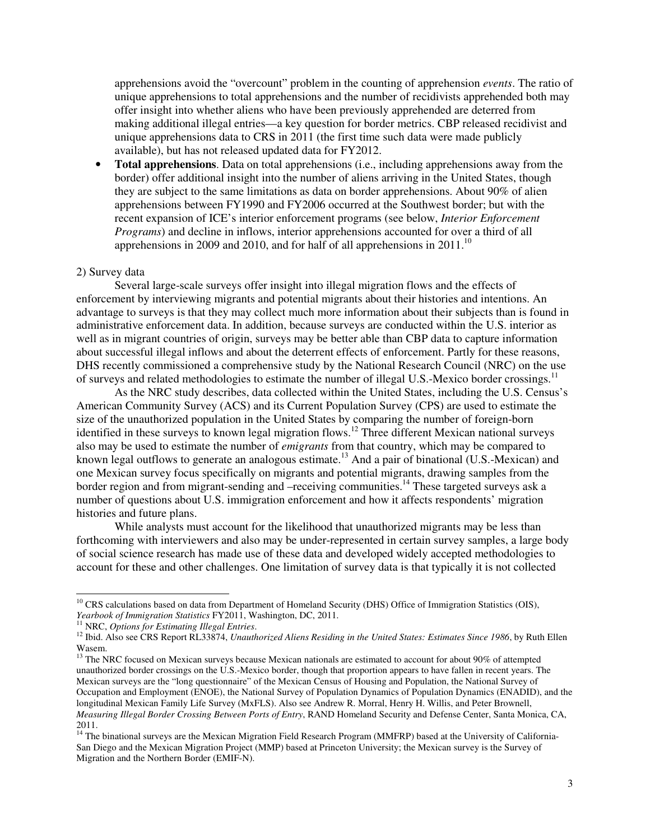apprehensions avoid the "overcount" problem in the counting of apprehension *events*. The ratio of unique apprehensions to total apprehensions and the number of recidivists apprehended both may offer insight into whether aliens who have been previously apprehended are deterred from making additional illegal entries—a key question for border metrics. CBP released recidivist and unique apprehensions data to CRS in 2011 (the first time such data were made publicly available), but has not released updated data for FY2012.

• **Total apprehensions**. Data on total apprehensions (i.e., including apprehensions away from the border) offer additional insight into the number of aliens arriving in the United States, though they are subject to the same limitations as data on border apprehensions. About 90% of alien apprehensions between FY1990 and FY2006 occurred at the Southwest border; but with the recent expansion of ICE's interior enforcement programs (see below, *Interior Enforcement Programs*) and decline in inflows, interior apprehensions accounted for over a third of all apprehensions in 2009 and 2010, and for half of all apprehensions in  $2011$ .<sup>10</sup>

#### 2) Survey data

j

Several large-scale surveys offer insight into illegal migration flows and the effects of enforcement by interviewing migrants and potential migrants about their histories and intentions. An advantage to surveys is that they may collect much more information about their subjects than is found in administrative enforcement data. In addition, because surveys are conducted within the U.S. interior as well as in migrant countries of origin, surveys may be better able than CBP data to capture information about successful illegal inflows and about the deterrent effects of enforcement. Partly for these reasons, DHS recently commissioned a comprehensive study by the National Research Council (NRC) on the use of surveys and related methodologies to estimate the number of illegal U.S.-Mexico border crossings.<sup>11</sup>

As the NRC study describes, data collected within the United States, including the U.S. Census's American Community Survey (ACS) and its Current Population Survey (CPS) are used to estimate the size of the unauthorized population in the United States by comparing the number of foreign-born identified in these surveys to known legal migration flows.<sup>12</sup> Three different Mexican national surveys also may be used to estimate the number of *emigrants* from that country, which may be compared to known legal outflows to generate an analogous estimate.<sup>13</sup> And a pair of binational (U.S.-Mexican) and one Mexican survey focus specifically on migrants and potential migrants, drawing samples from the border region and from migrant-sending and –receiving communities.<sup>14</sup> These targeted surveys ask a number of questions about U.S. immigration enforcement and how it affects respondents' migration histories and future plans.

While analysts must account for the likelihood that unauthorized migrants may be less than forthcoming with interviewers and also may be under-represented in certain survey samples, a large body of social science research has made use of these data and developed widely accepted methodologies to account for these and other challenges. One limitation of survey data is that typically it is not collected

<sup>&</sup>lt;sup>10</sup> CRS calculations based on data from Department of Homeland Security (DHS) Office of Immigration Statistics (OIS), *Yearbook of Immigration Statistics* FY2011, Washington, DC, 2011.

<sup>11</sup> NRC, *Options for Estimating Illegal Entries*.

<sup>&</sup>lt;sup>12</sup> Ibid. Also see CRS Report RL33874, *Unauthorized Aliens Residing in the United States: Estimates Since 1986*, by Ruth Ellen Wasem.

<sup>&</sup>lt;sup>13</sup> The NRC focused on Mexican surveys because Mexican nationals are estimated to account for about 90% of attempted unauthorized border crossings on the U.S.-Mexico border, though that proportion appears to have fallen in recent years. The Mexican surveys are the "long questionnaire" of the Mexican Census of Housing and Population, the National Survey of Occupation and Employment (ENOE), the National Survey of Population Dynamics of Population Dynamics (ENADID), and the longitudinal Mexican Family Life Survey (MxFLS). Also see Andrew R. Morral, Henry H. Willis, and Peter Brownell, *Measuring Illegal Border Crossing Between Ports of Entry*, RAND Homeland Security and Defense Center, Santa Monica, CA, 2011.

<sup>&</sup>lt;sup>14</sup> The binational surveys are the Mexican Migration Field Research Program (MMFRP) based at the University of California-San Diego and the Mexican Migration Project (MMP) based at Princeton University; the Mexican survey is the Survey of Migration and the Northern Border (EMIF-N).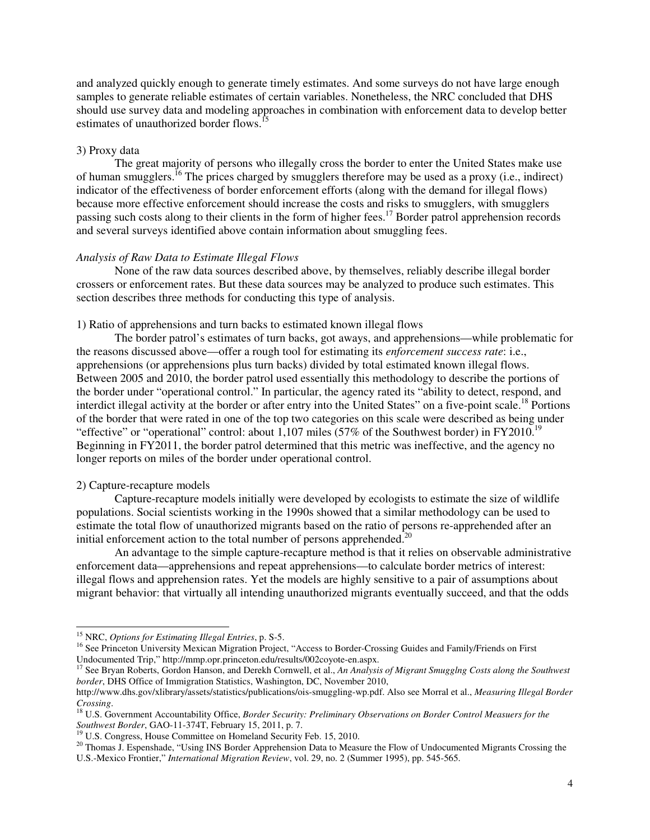and analyzed quickly enough to generate timely estimates. And some surveys do not have large enough samples to generate reliable estimates of certain variables. Nonetheless, the NRC concluded that DHS should use survey data and modeling approaches in combination with enforcement data to develop better estimates of unauthorized border flows.<sup>1</sup>

### 3) Proxy data

The great majority of persons who illegally cross the border to enter the United States make use of human smugglers.<sup>16</sup> The prices charged by smugglers therefore may be used as a proxy (i.e., indirect) indicator of the effectiveness of border enforcement efforts (along with the demand for illegal flows) because more effective enforcement should increase the costs and risks to smugglers, with smugglers passing such costs along to their clients in the form of higher fees.<sup>17</sup> Border patrol apprehension records and several surveys identified above contain information about smuggling fees.

### *Analysis of Raw Data to Estimate Illegal Flows*

None of the raw data sources described above, by themselves, reliably describe illegal border crossers or enforcement rates. But these data sources may be analyzed to produce such estimates. This section describes three methods for conducting this type of analysis.

#### 1) Ratio of apprehensions and turn backs to estimated known illegal flows

The border patrol's estimates of turn backs, got aways, and apprehensions—while problematic for the reasons discussed above—offer a rough tool for estimating its *enforcement success rate*: i.e., apprehensions (or apprehensions plus turn backs) divided by total estimated known illegal flows. Between 2005 and 2010, the border patrol used essentially this methodology to describe the portions of the border under "operational control." In particular, the agency rated its "ability to detect, respond, and interdict illegal activity at the border or after entry into the United States" on a five-point scale.<sup>18</sup> Portions of the border that were rated in one of the top two categories on this scale were described as being under "effective" or "operational" control: about 1,107 miles (57% of the Southwest border) in  $FY2010$ .<sup>19</sup> Beginning in FY2011, the border patrol determined that this metric was ineffective, and the agency no longer reports on miles of the border under operational control.

#### 2) Capture-recapture models

-

Capture-recapture models initially were developed by ecologists to estimate the size of wildlife populations. Social scientists working in the 1990s showed that a similar methodology can be used to estimate the total flow of unauthorized migrants based on the ratio of persons re-apprehended after an initial enforcement action to the total number of persons apprehended.<sup>20</sup>

An advantage to the simple capture-recapture method is that it relies on observable administrative enforcement data—apprehensions and repeat apprehensions—to calculate border metrics of interest: illegal flows and apprehension rates. Yet the models are highly sensitive to a pair of assumptions about migrant behavior: that virtually all intending unauthorized migrants eventually succeed, and that the odds

<sup>15</sup> NRC, *Options for Estimating Illegal Entries*, p. S-5.

<sup>&</sup>lt;sup>16</sup> See Princeton University Mexican Migration Project, "Access to Border-Crossing Guides and Family/Friends on First Undocumented Trip," http://mmp.opr.princeton.edu/results/002coyote-en.aspx.<br><sup>17</sup> See Bryan Poberta, Carda, H.

<sup>17</sup> See Bryan Roberts, Gordon Hanson, and Derekh Cornwell, et al., *An Analysis of Migrant Smugglng Costs along the Southwest border*, DHS Office of Immigration Statistics, Washington, DC, November 2010,

http://www.dhs.gov/xlibrary/assets/statistics/publications/ois-smuggling-wp.pdf. Also see Morral et al., *Measuring Illegal Border Crossing*.

<sup>18</sup> U.S. Government Accountability Office, *Border Security: Preliminary Observations on Border Control Measuers for the Southwest Border*, GAO-11-374T, February 15, 2011, p. 7.

<sup>&</sup>lt;sup>19</sup> U.S. Congress, House Committee on Homeland Security Feb. 15, 2010.

<sup>&</sup>lt;sup>20</sup> Thomas J. Espenshade, "Using INS Border Apprehension Data to Measure the Flow of Undocumented Migrants Crossing the U.S.-Mexico Frontier," *International Migration Review*, vol. 29, no. 2 (Summer 1995), pp. 545-565.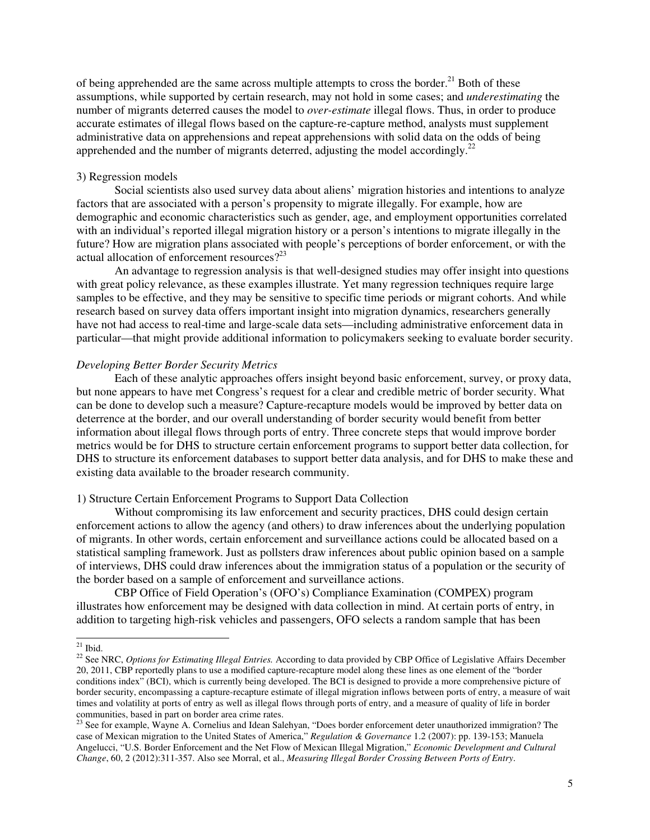of being apprehended are the same across multiple attempts to cross the border.<sup>21</sup> Both of these assumptions, while supported by certain research, may not hold in some cases; and *underestimating* the number of migrants deterred causes the model to *over-estimate* illegal flows. Thus, in order to produce accurate estimates of illegal flows based on the capture-re-capture method, analysts must supplement administrative data on apprehensions and repeat apprehensions with solid data on the odds of being apprehended and the number of migrants deterred, adjusting the model accordingly.<sup>22</sup>

### 3) Regression models

Social scientists also used survey data about aliens' migration histories and intentions to analyze factors that are associated with a person's propensity to migrate illegally. For example, how are demographic and economic characteristics such as gender, age, and employment opportunities correlated with an individual's reported illegal migration history or a person's intentions to migrate illegally in the future? How are migration plans associated with people's perceptions of border enforcement, or with the actual allocation of enforcement resources?<sup>23</sup>

An advantage to regression analysis is that well-designed studies may offer insight into questions with great policy relevance, as these examples illustrate. Yet many regression techniques require large samples to be effective, and they may be sensitive to specific time periods or migrant cohorts. And while research based on survey data offers important insight into migration dynamics, researchers generally have not had access to real-time and large-scale data sets—including administrative enforcement data in particular—that might provide additional information to policymakers seeking to evaluate border security.

### *Developing Better Border Security Metrics*

Each of these analytic approaches offers insight beyond basic enforcement, survey, or proxy data, but none appears to have met Congress's request for a clear and credible metric of border security. What can be done to develop such a measure? Capture-recapture models would be improved by better data on deterrence at the border, and our overall understanding of border security would benefit from better information about illegal flows through ports of entry. Three concrete steps that would improve border metrics would be for DHS to structure certain enforcement programs to support better data collection, for DHS to structure its enforcement databases to support better data analysis, and for DHS to make these and existing data available to the broader research community.

#### 1) Structure Certain Enforcement Programs to Support Data Collection

Without compromising its law enforcement and security practices, DHS could design certain enforcement actions to allow the agency (and others) to draw inferences about the underlying population of migrants. In other words, certain enforcement and surveillance actions could be allocated based on a statistical sampling framework. Just as pollsters draw inferences about public opinion based on a sample of interviews, DHS could draw inferences about the immigration status of a population or the security of the border based on a sample of enforcement and surveillance actions.

CBP Office of Field Operation's (OFO's) Compliance Examination (COMPEX) program illustrates how enforcement may be designed with data collection in mind. At certain ports of entry, in addition to targeting high-risk vehicles and passengers, OFO selects a random sample that has been

-

 $21$  Ibid.

<sup>&</sup>lt;sup>22</sup> See NRC, *Options for Estimating Illegal Entries*. According to data provided by CBP Office of Legislative Affairs December 20, 2011, CBP reportedly plans to use a modified capture-recapture model along these lines as one element of the "border conditions index" (BCI), which is currently being developed. The BCI is designed to provide a more comprehensive picture of border security, encompassing a capture-recapture estimate of illegal migration inflows between ports of entry, a measure of wait times and volatility at ports of entry as well as illegal flows through ports of entry, and a measure of quality of life in border communities, based in part on border area crime rates.

 $23$  See for example, Wayne A. Cornelius and Idean Salehyan, "Does border enforcement deter unauthorized immigration? The case of Mexican migration to the United States of America," *Regulation & Governance* 1.2 (2007): pp. 139-153; Manuela Angelucci, "U.S. Border Enforcement and the Net Flow of Mexican Illegal Migration," *Economic Development and Cultural Change*, 60, 2 (2012):311-357. Also see Morral, et al., *Measuring Illegal Border Crossing Between Ports of Entry*.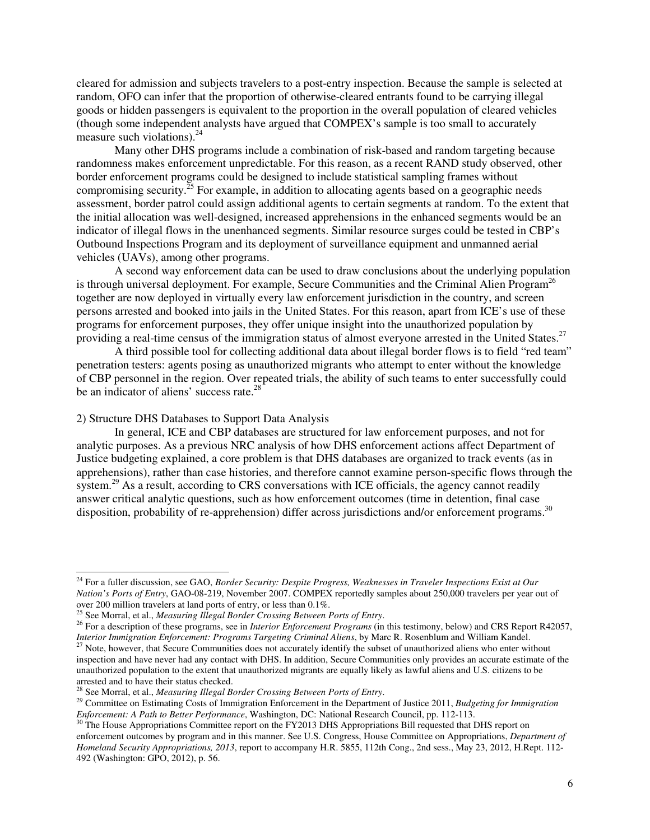cleared for admission and subjects travelers to a post-entry inspection. Because the sample is selected at random, OFO can infer that the proportion of otherwise-cleared entrants found to be carrying illegal goods or hidden passengers is equivalent to the proportion in the overall population of cleared vehicles (though some independent analysts have argued that COMPEX's sample is too small to accurately measure such violations). $^{24}$ 

Many other DHS programs include a combination of risk-based and random targeting because randomness makes enforcement unpredictable. For this reason, as a recent RAND study observed, other border enforcement programs could be designed to include statistical sampling frames without compromising security.<sup>25</sup> For example, in addition to allocating agents based on a geographic needs assessment, border patrol could assign additional agents to certain segments at random. To the extent that the initial allocation was well-designed, increased apprehensions in the enhanced segments would be an indicator of illegal flows in the unenhanced segments. Similar resource surges could be tested in CBP's Outbound Inspections Program and its deployment of surveillance equipment and unmanned aerial vehicles (UAVs), among other programs.

A second way enforcement data can be used to draw conclusions about the underlying population is through universal deployment. For example, Secure Communities and the Criminal Alien Program<sup>26</sup> together are now deployed in virtually every law enforcement jurisdiction in the country, and screen persons arrested and booked into jails in the United States. For this reason, apart from ICE's use of these programs for enforcement purposes, they offer unique insight into the unauthorized population by providing a real-time census of the immigration status of almost everyone arrested in the United States.<sup>27</sup>

A third possible tool for collecting additional data about illegal border flows is to field "red team" penetration testers: agents posing as unauthorized migrants who attempt to enter without the knowledge of CBP personnel in the region. Over repeated trials, the ability of such teams to enter successfully could be an indicator of aliens' success rate.<sup>28</sup>

### 2) Structure DHS Databases to Support Data Analysis

-

 In general, ICE and CBP databases are structured for law enforcement purposes, and not for analytic purposes. As a previous NRC analysis of how DHS enforcement actions affect Department of Justice budgeting explained, a core problem is that DHS databases are organized to track events (as in apprehensions), rather than case histories, and therefore cannot examine person-specific flows through the system.<sup>29</sup> As a result, according to CRS conversations with ICE officials, the agency cannot readily answer critical analytic questions, such as how enforcement outcomes (time in detention, final case disposition, probability of re-apprehension) differ across jurisdictions and/or enforcement programs.<sup>30</sup>

<sup>24</sup> For a fuller discussion, see GAO, *Border Security: Despite Progress, Weaknesses in Traveler Inspections Exist at Our Nation's Ports of Entry*, GAO-08-219, November 2007. COMPEX reportedly samples about 250,000 travelers per year out of over 200 million travelers at land ports of entry, or less than 0.1%.

<sup>25</sup> See Morral, et al., *Measuring Illegal Border Crossing Between Ports of Entry*.

<sup>&</sup>lt;sup>26</sup> For a description of these programs, see in *Interior Enforcement Programs* (in this testimony, below) and CRS Report R42057, *Interior Immigration Enforcement: Programs Targeting Criminal Aliens*, by Marc R. Rosenblum and William Kandel.

<sup>&</sup>lt;sup>27</sup> Note, however, that Secure Communities does not accurately identify the subset of unauthorized aliens who enter without inspection and have never had any contact with DHS. In addition, Secure Communities only provides an accurate estimate of the unauthorized population to the extent that unauthorized migrants are equally likely as lawful aliens and U.S. citizens to be arrested and to have their status checked.

<sup>28</sup> See Morral, et al., *Measuring Illegal Border Crossing Between Ports of Entry*.

<sup>29</sup> Committee on Estimating Costs of Immigration Enforcement in the Department of Justice 2011, *Budgeting for Immigration Enforcement: A Path to Better Performance*, Washington, DC: National Research Council, pp. 112-113.

 $30$  The House Appropriations Committee report on the FY2013 DHS Appropriations Bill requested that DHS report on enforcement outcomes by program and in this manner. See U.S. Congress, House Committee on Appropriations, *Department of Homeland Security Appropriations, 2013*, report to accompany H.R. 5855, 112th Cong., 2nd sess., May 23, 2012, H.Rept. 112- 492 (Washington: GPO, 2012), p. 56.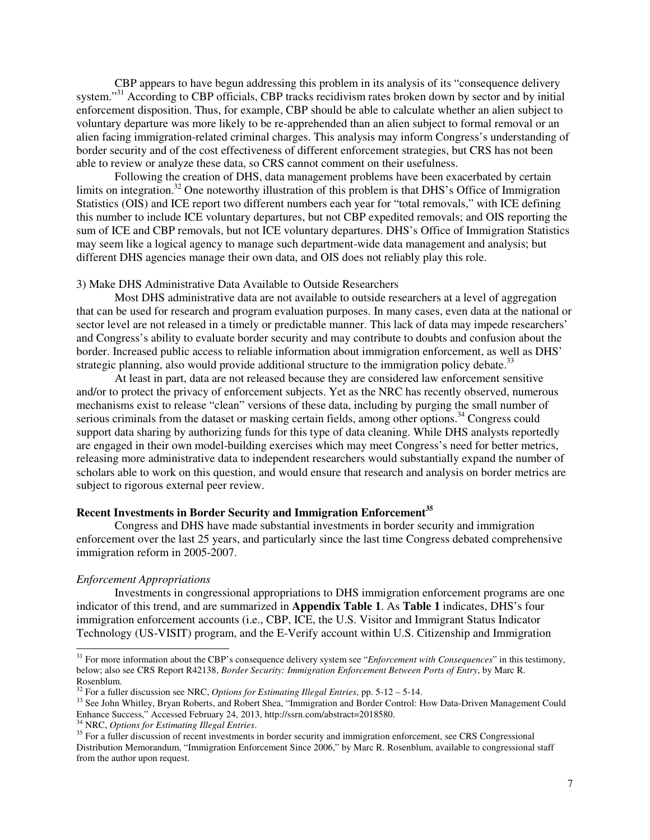CBP appears to have begun addressing this problem in its analysis of its "consequence delivery system."<sup>31</sup> According to CBP officials, CBP tracks recidivism rates broken down by sector and by initial enforcement disposition. Thus, for example, CBP should be able to calculate whether an alien subject to voluntary departure was more likely to be re-apprehended than an alien subject to formal removal or an alien facing immigration-related criminal charges. This analysis may inform Congress's understanding of border security and of the cost effectiveness of different enforcement strategies, but CRS has not been able to review or analyze these data, so CRS cannot comment on their usefulness.

Following the creation of DHS, data management problems have been exacerbated by certain limits on integration.<sup>32</sup> One noteworthy illustration of this problem is that DHS's Office of Immigration Statistics (OIS) and ICE report two different numbers each year for "total removals," with ICE defining this number to include ICE voluntary departures, but not CBP expedited removals; and OIS reporting the sum of ICE and CBP removals, but not ICE voluntary departures. DHS's Office of Immigration Statistics may seem like a logical agency to manage such department-wide data management and analysis; but different DHS agencies manage their own data, and OIS does not reliably play this role.

#### 3) Make DHS Administrative Data Available to Outside Researchers

 Most DHS administrative data are not available to outside researchers at a level of aggregation that can be used for research and program evaluation purposes. In many cases, even data at the national or sector level are not released in a timely or predictable manner. This lack of data may impede researchers' and Congress's ability to evaluate border security and may contribute to doubts and confusion about the border. Increased public access to reliable information about immigration enforcement, as well as DHS' strategic planning, also would provide additional structure to the immigration policy debate.<sup>33</sup>

At least in part, data are not released because they are considered law enforcement sensitive and/or to protect the privacy of enforcement subjects. Yet as the NRC has recently observed, numerous mechanisms exist to release "clean" versions of these data, including by purging the small number of serious criminals from the dataset or masking certain fields, among other options.<sup>34</sup> Congress could support data sharing by authorizing funds for this type of data cleaning. While DHS analysts reportedly are engaged in their own model-building exercises which may meet Congress's need for better metrics, releasing more administrative data to independent researchers would substantially expand the number of scholars able to work on this question, and would ensure that research and analysis on border metrics are subject to rigorous external peer review.

### **Recent Investments in Border Security and Immigration Enforcement<sup>35</sup>**

Congress and DHS have made substantial investments in border security and immigration enforcement over the last 25 years, and particularly since the last time Congress debated comprehensive immigration reform in 2005-2007.

#### *Enforcement Appropriations*

j

Investments in congressional appropriations to DHS immigration enforcement programs are one indicator of this trend, and are summarized in **Appendix Table 1**. As **Table 1** indicates, DHS's four immigration enforcement accounts (i.e., CBP, ICE, the U.S. Visitor and Immigrant Status Indicator Technology (US-VISIT) program, and the E-Verify account within U.S. Citizenship and Immigration

<sup>31</sup> For more information about the CBP's consequence delivery system see "*Enforcement with Consequences*" in this testimony, below; also see CRS Report R42138, *Border Security: Immigration Enforcement Between Ports of Entry*, by Marc R. Rosenblum.

<sup>32</sup> For a fuller discussion see NRC, *Options for Estimating Illegal Entries*, pp. 5-12 – 5-14.

<sup>&</sup>lt;sup>33</sup> See John Whitley, Bryan Roberts, and Robert Shea, "Immigration and Border Control: How Data-Driven Management Could Enhance Success," Accessed February 24, 2013, http://ssrn.com/abstract=2018580.

<sup>34</sup> NRC, *Options for Estimating Illegal Entries*.

<sup>&</sup>lt;sup>35</sup> For a fuller discussion of recent investments in border security and immigration enforcement, see CRS Congressional Distribution Memorandum, "Immigration Enforcement Since 2006," by Marc R. Rosenblum, available to congressional staff from the author upon request.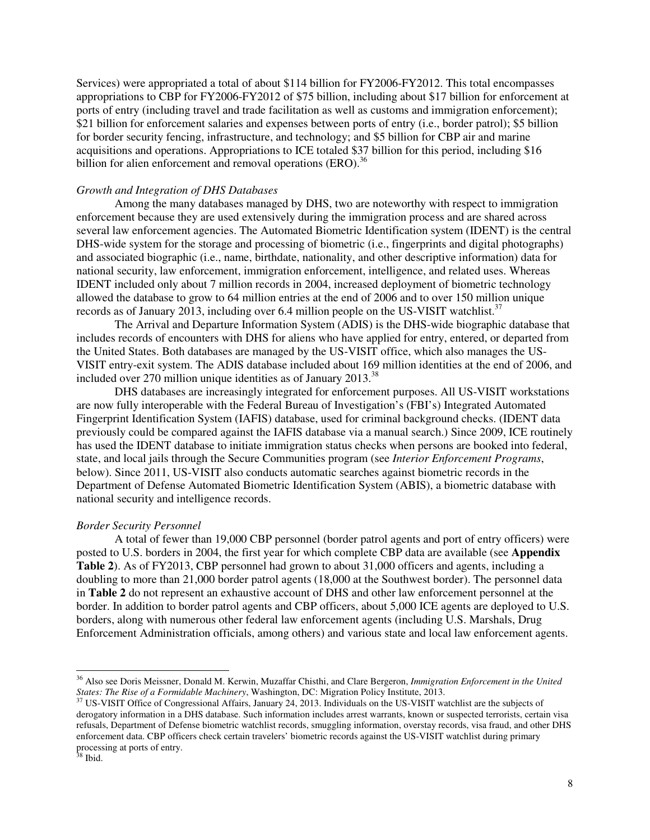Services) were appropriated a total of about \$114 billion for FY2006-FY2012. This total encompasses appropriations to CBP for FY2006-FY2012 of \$75 billion, including about \$17 billion for enforcement at ports of entry (including travel and trade facilitation as well as customs and immigration enforcement); \$21 billion for enforcement salaries and expenses between ports of entry (i.e., border patrol); \$5 billion for border security fencing, infrastructure, and technology; and \$5 billion for CBP air and marine acquisitions and operations. Appropriations to ICE totaled \$37 billion for this period, including \$16 billion for alien enforcement and removal operations  $(ERO)^{36}$ 

### *Growth and Integration of DHS Databases*

Among the many databases managed by DHS, two are noteworthy with respect to immigration enforcement because they are used extensively during the immigration process and are shared across several law enforcement agencies. The Automated Biometric Identification system (IDENT) is the central DHS-wide system for the storage and processing of biometric (i.e., fingerprints and digital photographs) and associated biographic (i.e., name, birthdate, nationality, and other descriptive information) data for national security, law enforcement, immigration enforcement, intelligence, and related uses. Whereas IDENT included only about 7 million records in 2004, increased deployment of biometric technology allowed the database to grow to 64 million entries at the end of 2006 and to over 150 million unique records as of January 2013, including over 6.4 million people on the US-VISIT watchlist.<sup>37</sup>

The Arrival and Departure Information System (ADIS) is the DHS-wide biographic database that includes records of encounters with DHS for aliens who have applied for entry, entered, or departed from the United States. Both databases are managed by the US-VISIT office, which also manages the US-VISIT entry-exit system. The ADIS database included about 169 million identities at the end of 2006, and included over 270 million unique identities as of January 2013.<sup>38</sup>

DHS databases are increasingly integrated for enforcement purposes. All US-VISIT workstations are now fully interoperable with the Federal Bureau of Investigation's (FBI's) Integrated Automated Fingerprint Identification System (IAFIS) database, used for criminal background checks. (IDENT data previously could be compared against the IAFIS database via a manual search.) Since 2009, ICE routinely has used the IDENT database to initiate immigration status checks when persons are booked into federal, state, and local jails through the Secure Communities program (see *Interior Enforcement Programs*, below). Since 2011, US-VISIT also conducts automatic searches against biometric records in the Department of Defense Automated Biometric Identification System (ABIS), a biometric database with national security and intelligence records.

### *Border Security Personnel*

A total of fewer than 19,000 CBP personnel (border patrol agents and port of entry officers) were posted to U.S. borders in 2004, the first year for which complete CBP data are available (see **Appendix Table 2**). As of FY2013, CBP personnel had grown to about 31,000 officers and agents, including a doubling to more than 21,000 border patrol agents (18,000 at the Southwest border). The personnel data in **Table 2** do not represent an exhaustive account of DHS and other law enforcement personnel at the border. In addition to border patrol agents and CBP officers, about 5,000 ICE agents are deployed to U.S. borders, along with numerous other federal law enforcement agents (including U.S. Marshals, Drug Enforcement Administration officials, among others) and various state and local law enforcement agents.

j <sup>36</sup> Also see Doris Meissner, Donald M. Kerwin, Muzaffar Chisthi, and Clare Bergeron, *Immigration Enforcement in the United States: The Rise of a Formidable Machinery*, Washington, DC: Migration Policy Institute, 2013.

 $37 \text{ US-VISIT }$  Office of Congressional Affairs, January 24, 2013. Individuals on the US-VISIT watchlist are the subjects of derogatory information in a DHS database. Such information includes arrest warrants, known or suspected terrorists, certain visa refusals, Department of Defense biometric watchlist records, smuggling information, overstay records, visa fraud, and other DHS enforcement data. CBP officers check certain travelers' biometric records against the US-VISIT watchlist during primary processing at ports of entry.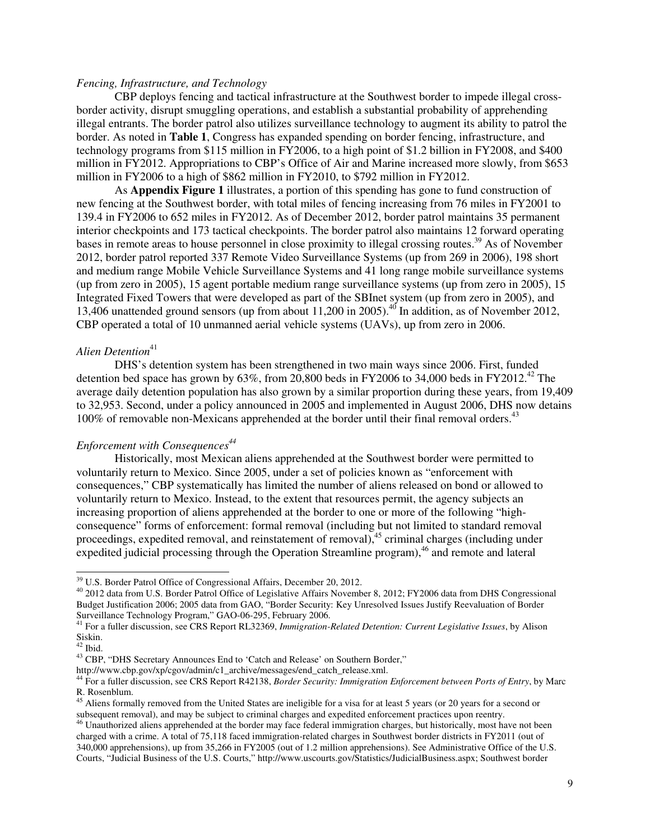# *Fencing, Infrastructure, and Technology*

CBP deploys fencing and tactical infrastructure at the Southwest border to impede illegal crossborder activity, disrupt smuggling operations, and establish a substantial probability of apprehending illegal entrants. The border patrol also utilizes surveillance technology to augment its ability to patrol the border. As noted in **Table 1**, Congress has expanded spending on border fencing, infrastructure, and technology programs from \$115 million in FY2006, to a high point of \$1.2 billion in FY2008, and \$400 million in FY2012. Appropriations to CBP's Office of Air and Marine increased more slowly, from \$653 million in FY2006 to a high of \$862 million in FY2010, to \$792 million in FY2012.

As **Appendix Figure 1** illustrates, a portion of this spending has gone to fund construction of new fencing at the Southwest border, with total miles of fencing increasing from 76 miles in FY2001 to 139.4 in FY2006 to 652 miles in FY2012. As of December 2012, border patrol maintains 35 permanent interior checkpoints and 173 tactical checkpoints. The border patrol also maintains 12 forward operating bases in remote areas to house personnel in close proximity to illegal crossing routes.<sup>39</sup> As of November 2012, border patrol reported 337 Remote Video Surveillance Systems (up from 269 in 2006), 198 short and medium range Mobile Vehicle Surveillance Systems and 41 long range mobile surveillance systems (up from zero in 2005), 15 agent portable medium range surveillance systems (up from zero in 2005), 15 Integrated Fixed Towers that were developed as part of the SBInet system (up from zero in 2005), and 13,406 unattended ground sensors (up from about 11,200 in 2005).<sup>40</sup> In addition, as of November 2012, CBP operated a total of 10 unmanned aerial vehicle systems (UAVs), up from zero in 2006.

# *Alien Detention*<sup>41</sup>

DHS's detention system has been strengthened in two main ways since 2006. First, funded detention bed space has grown by  $63\%$ , from 20,800 beds in FY2006 to 34,000 beds in FY2012.<sup>42</sup> The average daily detention population has also grown by a similar proportion during these years, from 19,409 to 32,953. Second, under a policy announced in 2005 and implemented in August 2006, DHS now detains  $100\%$  of removable non-Mexicans apprehended at the border until their final removal orders.<sup>43</sup>

### *Enforcement with Consequences<sup>44</sup>*

Historically, most Mexican aliens apprehended at the Southwest border were permitted to voluntarily return to Mexico. Since 2005, under a set of policies known as "enforcement with consequences," CBP systematically has limited the number of aliens released on bond or allowed to voluntarily return to Mexico. Instead, to the extent that resources permit, the agency subjects an increasing proportion of aliens apprehended at the border to one or more of the following "highconsequence" forms of enforcement: formal removal (including but not limited to standard removal proceedings, expedited removal, and reinstatement of removal),<sup>45</sup> criminal charges (including under expedited judicial processing through the Operation Streamline program),<sup>46</sup> and remote and lateral

-

<sup>&</sup>lt;sup>39</sup> U.S. Border Patrol Office of Congressional Affairs, December 20, 2012.

<sup>&</sup>lt;sup>40</sup> 2012 data from U.S. Border Patrol Office of Legislative Affairs November 8, 2012; FY2006 data from DHS Congressional Budget Justification 2006; 2005 data from GAO, "Border Security: Key Unresolved Issues Justify Reevaluation of Border Surveillance Technology Program," GAO-06-295, February 2006.

<sup>41</sup> For a fuller discussion, see CRS Report RL32369, *Immigration-Related Detention: Current Legislative Issues*, by Alison Siskin.

 $42$  Ibid.

<sup>&</sup>lt;sup>43</sup> CBP, "DHS Secretary Announces End to 'Catch and Release' on Southern Border,"

http://www.cbp.gov/xp/cgov/admin/c1\_archive/messages/end\_catch\_release.xml.

<sup>44</sup> For a fuller discussion, see CRS Report R42138, *Border Security: Immigration Enforcement between Ports of Entry*, by Marc R. Rosenblum.

<sup>&</sup>lt;sup>45</sup> Aliens formally removed from the United States are ineligible for a visa for at least 5 years (or 20 years for a second or subsequent removal), and may be subject to criminal charges and expedited enforcement practices upon reentry.

<sup>&</sup>lt;sup>46</sup> Unauthorized aliens apprehended at the border may face federal immigration charges, but historically, most have not been charged with a crime. A total of 75,118 faced immigration-related charges in Southwest border districts in FY2011 (out of 340,000 apprehensions), up from 35,266 in FY2005 (out of 1.2 million apprehensions). See Administrative Office of the U.S. Courts, "Judicial Business of the U.S. Courts," http://www.uscourts.gov/Statistics/JudicialBusiness.aspx; Southwest border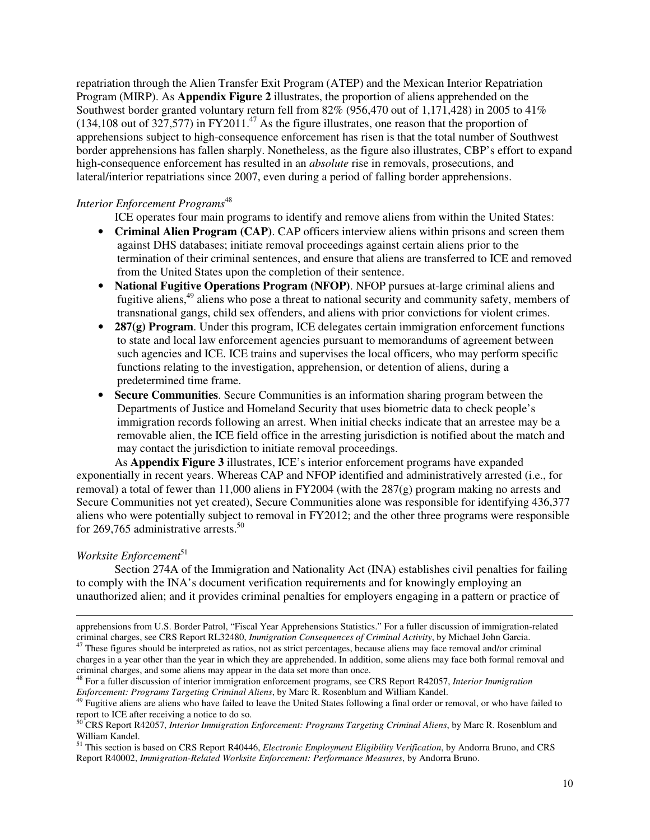repatriation through the Alien Transfer Exit Program (ATEP) and the Mexican Interior Repatriation Program (MIRP). As **Appendix Figure 2** illustrates, the proportion of aliens apprehended on the Southwest border granted voluntary return fell from 82% (956,470 out of 1,171,428) in 2005 to 41%  $(134,108$  out of  $327,577$ ) in FY2011.<sup>47</sup> As the figure illustrates, one reason that the proportion of apprehensions subject to high-consequence enforcement has risen is that the total number of Southwest border apprehensions has fallen sharply. Nonetheless, as the figure also illustrates, CBP's effort to expand high-consequence enforcement has resulted in an *absolute* rise in removals, prosecutions, and lateral/interior repatriations since 2007, even during a period of falling border apprehensions.

# *Interior Enforcement Programs*<sup>48</sup>

ICE operates four main programs to identify and remove aliens from within the United States:

- **Criminal Alien Program (CAP)**. CAP officers interview aliens within prisons and screen them against DHS databases; initiate removal proceedings against certain aliens prior to the termination of their criminal sentences, and ensure that aliens are transferred to ICE and removed from the United States upon the completion of their sentence.
- **National Fugitive Operations Program (NFOP)**. NFOP pursues at-large criminal aliens and fugitive aliens,<sup>49</sup> aliens who pose a threat to national security and community safety, members of transnational gangs, child sex offenders, and aliens with prior convictions for violent crimes.
- **287(g) Program.** Under this program, ICE delegates certain immigration enforcement functions to state and local law enforcement agencies pursuant to memorandums of agreement between such agencies and ICE. ICE trains and supervises the local officers, who may perform specific functions relating to the investigation, apprehension, or detention of aliens, during a predetermined time frame.
- **Secure Communities**. Secure Communities is an information sharing program between the Departments of Justice and Homeland Security that uses biometric data to check people's immigration records following an arrest. When initial checks indicate that an arrestee may be a removable alien, the ICE field office in the arresting jurisdiction is notified about the match and may contact the jurisdiction to initiate removal proceedings.

As **Appendix Figure 3** illustrates, ICE's interior enforcement programs have expanded exponentially in recent years. Whereas CAP and NFOP identified and administratively arrested (i.e., for removal) a total of fewer than 11,000 aliens in FY2004 (with the  $287(g)$  program making no arrests and Secure Communities not yet created), Secure Communities alone was responsible for identifying 436,377 aliens who were potentially subject to removal in FY2012; and the other three programs were responsible for 269,765 administrative arrests.<sup>50</sup>

# *Worksite Enforcement*<sup>51</sup>

j

 Section 274A of the Immigration and Nationality Act (INA) establishes civil penalties for failing to comply with the INA's document verification requirements and for knowingly employing an unauthorized alien; and it provides criminal penalties for employers engaging in a pattern or practice of

apprehensions from U.S. Border Patrol, "Fiscal Year Apprehensions Statistics." For a fuller discussion of immigration-related criminal charges, see CRS Report RL32480, *Immigration Consequences of Criminal Activity*, by Michael John Garcia.

<sup>&</sup>lt;sup>47</sup> These figures should be interpreted as ratios, not as strict percentages, because aliens may face removal and/or criminal charges in a year other than the year in which they are apprehended. In addition, some aliens may face both formal removal and criminal charges, and some aliens may appear in the data set more than once.

<sup>48</sup> For a fuller discussion of interior immigration enforcement programs, see CRS Report R42057, *Interior Immigration Enforcement: Programs Targeting Criminal Aliens*, by Marc R. Rosenblum and William Kandel.

<sup>49</sup> Fugitive aliens are aliens who have failed to leave the United States following a final order or removal, or who have failed to report to ICE after receiving a notice to do so.

<sup>50</sup> CRS Report R42057, *Interior Immigration Enforcement: Programs Targeting Criminal Aliens*, by Marc R. Rosenblum and William Kandel.

<sup>51</sup> This section is based on CRS Report R40446, *Electronic Employment Eligibility Verification*, by Andorra Bruno, and CRS Report R40002, *Immigration-Related Worksite Enforcement: Performance Measures*, by Andorra Bruno.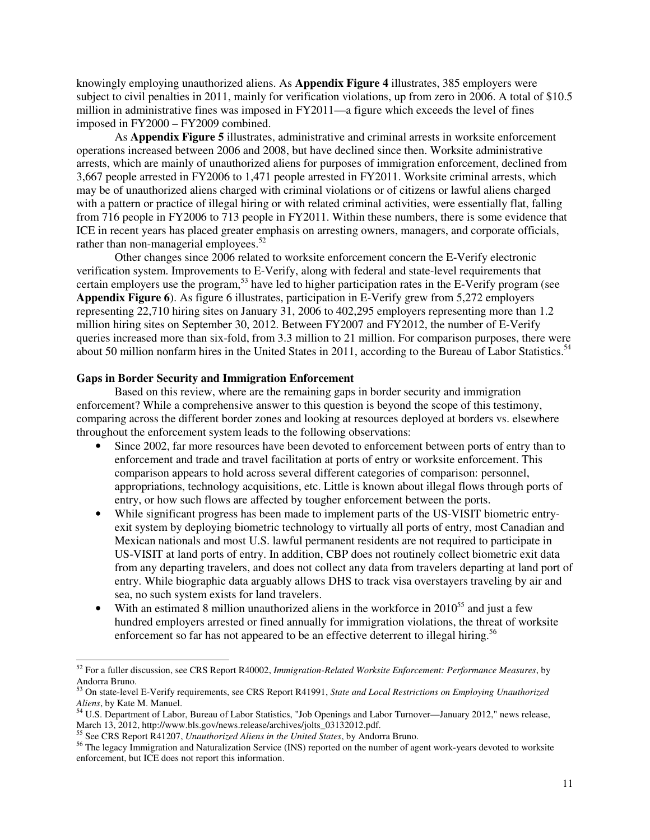knowingly employing unauthorized aliens. As **Appendix Figure 4** illustrates, 385 employers were subject to civil penalties in 2011, mainly for verification violations, up from zero in 2006. A total of \$10.5 million in administrative fines was imposed in FY2011—a figure which exceeds the level of fines imposed in FY2000 – FY2009 combined.

As **Appendix Figure 5** illustrates, administrative and criminal arrests in worksite enforcement operations increased between 2006 and 2008, but have declined since then. Worksite administrative arrests, which are mainly of unauthorized aliens for purposes of immigration enforcement, declined from 3,667 people arrested in FY2006 to 1,471 people arrested in FY2011. Worksite criminal arrests, which may be of unauthorized aliens charged with criminal violations or of citizens or lawful aliens charged with a pattern or practice of illegal hiring or with related criminal activities, were essentially flat, falling from 716 people in FY2006 to 713 people in FY2011. Within these numbers, there is some evidence that ICE in recent years has placed greater emphasis on arresting owners, managers, and corporate officials, rather than non-managerial employees.<sup>52</sup>

 Other changes since 2006 related to worksite enforcement concern the E-Verify electronic verification system. Improvements to E-Verify, along with federal and state-level requirements that certain employers use the program,<sup>53</sup> have led to higher participation rates in the E-Verify program (see **Appendix Figure 6**). As figure 6 illustrates, participation in E-Verify grew from 5,272 employers representing 22,710 hiring sites on January 31, 2006 to 402,295 employers representing more than 1.2 million hiring sites on September 30, 2012. Between FY2007 and FY2012, the number of E-Verify queries increased more than six-fold, from 3.3 million to 21 million. For comparison purposes, there were about 50 million nonfarm hires in the United States in 2011, according to the Bureau of Labor Statistics.<sup>54</sup>

# **Gaps in Border Security and Immigration Enforcement**

 Based on this review, where are the remaining gaps in border security and immigration enforcement? While a comprehensive answer to this question is beyond the scope of this testimony, comparing across the different border zones and looking at resources deployed at borders vs. elsewhere throughout the enforcement system leads to the following observations:

- Since 2002, far more resources have been devoted to enforcement between ports of entry than to enforcement and trade and travel facilitation at ports of entry or worksite enforcement. This comparison appears to hold across several different categories of comparison: personnel, appropriations, technology acquisitions, etc. Little is known about illegal flows through ports of entry, or how such flows are affected by tougher enforcement between the ports.
- While significant progress has been made to implement parts of the US-VISIT biometric entryexit system by deploying biometric technology to virtually all ports of entry, most Canadian and Mexican nationals and most U.S. lawful permanent residents are not required to participate in US-VISIT at land ports of entry. In addition, CBP does not routinely collect biometric exit data from any departing travelers, and does not collect any data from travelers departing at land port of entry. While biographic data arguably allows DHS to track visa overstayers traveling by air and sea, no such system exists for land travelers.
- With an estimated 8 million unauthorized aliens in the workforce in  $2010^{55}$  and just a few hundred employers arrested or fined annually for immigration violations, the threat of worksite enforcement so far has not appeared to be an effective deterrent to illegal hiring.<sup>56</sup>

-

<sup>52</sup> For a fuller discussion, see CRS Report R40002, *Immigration-Related Worksite Enforcement: Performance Measures*, by Andorra Bruno.

<sup>53</sup> On state-level E-Verify requirements, see CRS Report R41991, *State and Local Restrictions on Employing Unauthorized Aliens*, by Kate M. Manuel.

<sup>&</sup>lt;sup>54</sup> U.S. Department of Labor, Bureau of Labor Statistics, "Job Openings and Labor Turnover—January 2012," news release, March 13, 2012, http://www.bls.gov/news.release/archives/jolts\_03132012.pdf.

<sup>55</sup> See CRS Report R41207, *Unauthorized Aliens in the United States*, by Andorra Bruno.

<sup>&</sup>lt;sup>56</sup> The legacy Immigration and Naturalization Service (INS) reported on the number of agent work-years devoted to worksite enforcement, but ICE does not report this information.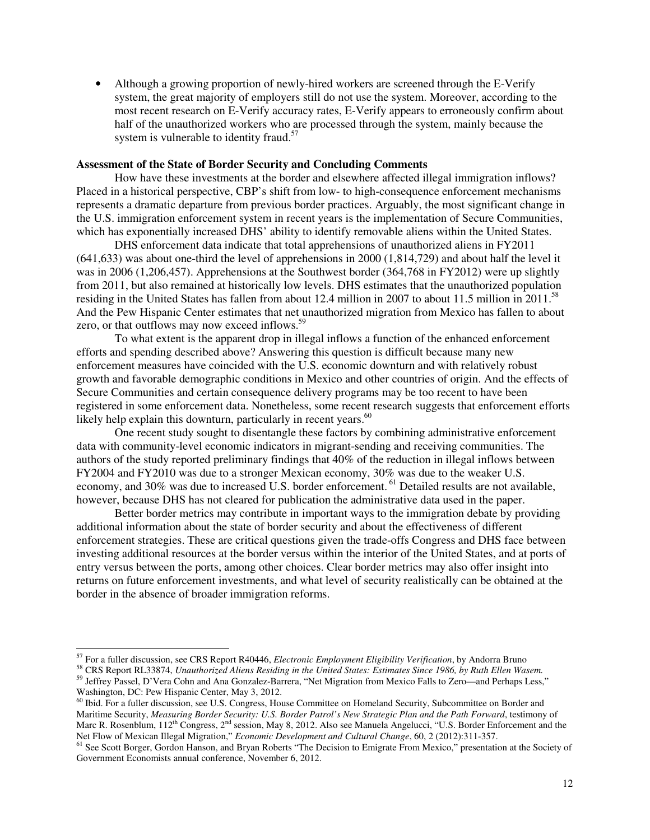• Although a growing proportion of newly-hired workers are screened through the E-Verify system, the great majority of employers still do not use the system. Moreover, according to the most recent research on E-Verify accuracy rates, E-Verify appears to erroneously confirm about half of the unauthorized workers who are processed through the system, mainly because the system is vulnerable to identity fraud.<sup>57</sup>

### **Assessment of the State of Border Security and Concluding Comments**

 How have these investments at the border and elsewhere affected illegal immigration inflows? Placed in a historical perspective, CBP's shift from low- to high-consequence enforcement mechanisms represents a dramatic departure from previous border practices. Arguably, the most significant change in the U.S. immigration enforcement system in recent years is the implementation of Secure Communities, which has exponentially increased DHS' ability to identify removable aliens within the United States.

DHS enforcement data indicate that total apprehensions of unauthorized aliens in FY2011 (641,633) was about one-third the level of apprehensions in 2000 (1,814,729) and about half the level it was in 2006 (1,206,457). Apprehensions at the Southwest border (364,768 in FY2012) were up slightly from 2011, but also remained at historically low levels. DHS estimates that the unauthorized population residing in the United States has fallen from about 12.4 million in 2007 to about 11.5 million in 2011.<sup>58</sup> And the Pew Hispanic Center estimates that net unauthorized migration from Mexico has fallen to about zero, or that outflows may now exceed inflows.<sup>59</sup>

 To what extent is the apparent drop in illegal inflows a function of the enhanced enforcement efforts and spending described above? Answering this question is difficult because many new enforcement measures have coincided with the U.S. economic downturn and with relatively robust growth and favorable demographic conditions in Mexico and other countries of origin. And the effects of Secure Communities and certain consequence delivery programs may be too recent to have been registered in some enforcement data. Nonetheless, some recent research suggests that enforcement efforts likely help explain this downturn, particularly in recent years. $60$ 

One recent study sought to disentangle these factors by combining administrative enforcement data with community-level economic indicators in migrant-sending and receiving communities. The authors of the study reported preliminary findings that 40% of the reduction in illegal inflows between FY2004 and FY2010 was due to a stronger Mexican economy, 30% was due to the weaker U.S. economy, and 30% was due to increased U.S. border enforcement.<sup>61</sup> Detailed results are not available, however, because DHS has not cleared for publication the administrative data used in the paper.

Better border metrics may contribute in important ways to the immigration debate by providing additional information about the state of border security and about the effectiveness of different enforcement strategies. These are critical questions given the trade-offs Congress and DHS face between investing additional resources at the border versus within the interior of the United States, and at ports of entry versus between the ports, among other choices. Clear border metrics may also offer insight into returns on future enforcement investments, and what level of security realistically can be obtained at the border in the absence of broader immigration reforms.

j

<sup>57</sup> For a fuller discussion, see CRS Report R40446, *Electronic Employment Eligibility Verification*, by Andorra Bruno

<sup>58</sup> CRS Report RL33874, *Unauthorized Aliens Residing in the United States: Estimates Since 1986, by Ruth Ellen Wasem.*  <sup>59</sup> Jeffrey Passel, D'Vera Cohn and Ana Gonzalez-Barrera, "Net Migration from Mexico Falls to Zero—and Perhaps Less,"

Washington, DC: Pew Hispanic Center, May 3, 2012. <sup>60</sup> Ibid. For a fuller discussion, see U.S. Congress, House Committee on Homeland Security, Subcommittee on Border and Maritime Security, *Measuring Border Security: U.S. Border Patrol's New Strategic Plan and the Path Forward*, testimony of Marc R. Rosenblum, 112<sup>th</sup> Congress, 2<sup>nd</sup> session, May 8, 2012. Also see Manuela Angelucci, "U.S. Border Enforcement and the Net Flow of Mexican Illegal Migration," *Economic Development and Cultural Change*, 60, 2 (2012):311-357.

<sup>&</sup>lt;sup>61</sup> See Scott Borger, Gordon Hanson, and Bryan Roberts "The Decision to Emigrate From Mexico," presentation at the Society of Government Economists annual conference, November 6, 2012.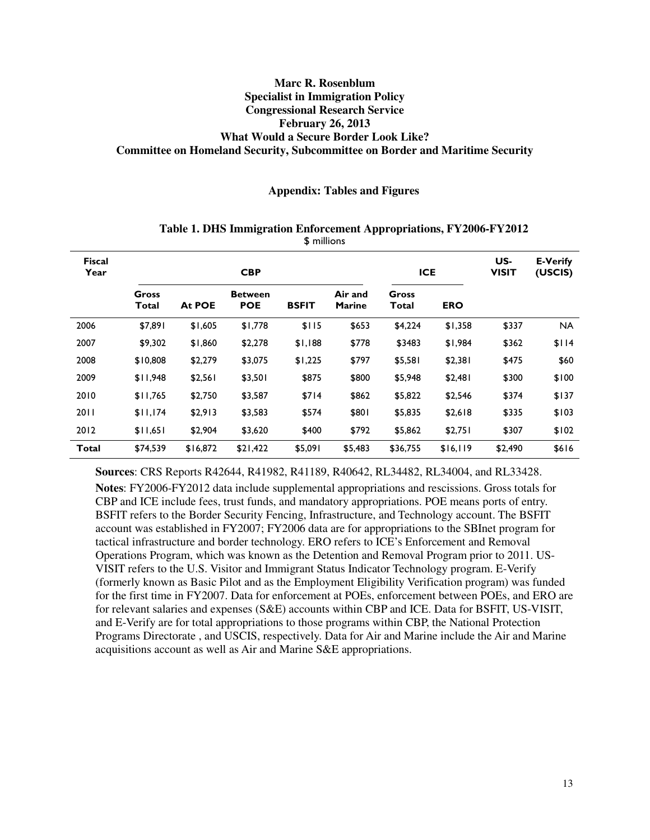# **Marc R. Rosenblum Specialist in Immigration Policy Congressional Research Service February 26, 2013 What Would a Secure Border Look Like? Committee on Homeland Security, Subcommittee on Border and Maritime Security**

**Appendix: Tables and Figures** 

| <b>Fiscal</b><br>Year |                |          | <b>CBP</b>                   | <b>ICE</b>   |                          | US-<br><b>VISIT</b> | <b>E-Verify</b><br>(USCIS) |         |           |
|-----------------------|----------------|----------|------------------------------|--------------|--------------------------|---------------------|----------------------------|---------|-----------|
|                       | Gross<br>Total | At POE   | <b>Between</b><br><b>POE</b> | <b>BSFIT</b> | Air and<br><b>Marine</b> | Gross<br>Total      | <b>ERO</b>                 |         |           |
| 2006                  | \$7,891        | \$1,605  | \$1,778                      | \$115        | \$653                    | \$4,224             | \$1,358                    | \$337   | <b>NA</b> |
| 2007                  | \$9,302        | \$1,860  | \$2,278                      | \$1,188      | \$778                    | \$3483              | \$1,984                    | \$362   | \$114     |
| 2008                  | \$10,808       | \$2,279  | \$3,075                      | \$1,225      | \$797                    | \$5,581             | \$2,381                    | \$475   | \$60      |
| 2009                  | \$11,948       | \$2,561  | \$3,501                      | \$875        | \$800                    | \$5,948             | \$2,481                    | \$300   | \$100     |
| 2010                  | \$11,765       | \$2,750  | \$3,587                      | \$714        | \$862                    | \$5,822             | \$2,546                    | \$374   | \$137     |
| 2011                  | \$11,174       | \$2,913  | \$3,583                      | \$574        | \$801                    | \$5,835             | \$2,618                    | \$335   | \$103     |
| 2012                  | \$11,651       | \$2,904  | \$3,620                      | \$400        | \$792                    | \$5,862             | \$2,751                    | \$307   | \$102     |
| <b>Total</b>          | \$74,539       | \$16,872 | \$21,422                     | \$5,091      | \$5,483                  | \$36,755            | \$16,119                   | \$2,490 | \$616     |

#### **Table 1. DHS Immigration Enforcement Appropriations, FY2006-FY2012**  \$ millions

**Sources**: CRS Reports R42644, R41982, R41189, R40642, RL34482, RL34004, and RL33428.

**Notes**: FY2006-FY2012 data include supplemental appropriations and rescissions. Gross totals for CBP and ICE include fees, trust funds, and mandatory appropriations. POE means ports of entry. BSFIT refers to the Border Security Fencing, Infrastructure, and Technology account. The BSFIT account was established in FY2007; FY2006 data are for appropriations to the SBInet program for tactical infrastructure and border technology. ERO refers to ICE's Enforcement and Removal Operations Program, which was known as the Detention and Removal Program prior to 2011. US-VISIT refers to the U.S. Visitor and Immigrant Status Indicator Technology program. E-Verify (formerly known as Basic Pilot and as the Employment Eligibility Verification program) was funded for the first time in FY2007. Data for enforcement at POEs, enforcement between POEs, and ERO are for relevant salaries and expenses (S&E) accounts within CBP and ICE. Data for BSFIT, US-VISIT, and E-Verify are for total appropriations to those programs within CBP, the National Protection Programs Directorate , and USCIS, respectively. Data for Air and Marine include the Air and Marine acquisitions account as well as Air and Marine S&E appropriations.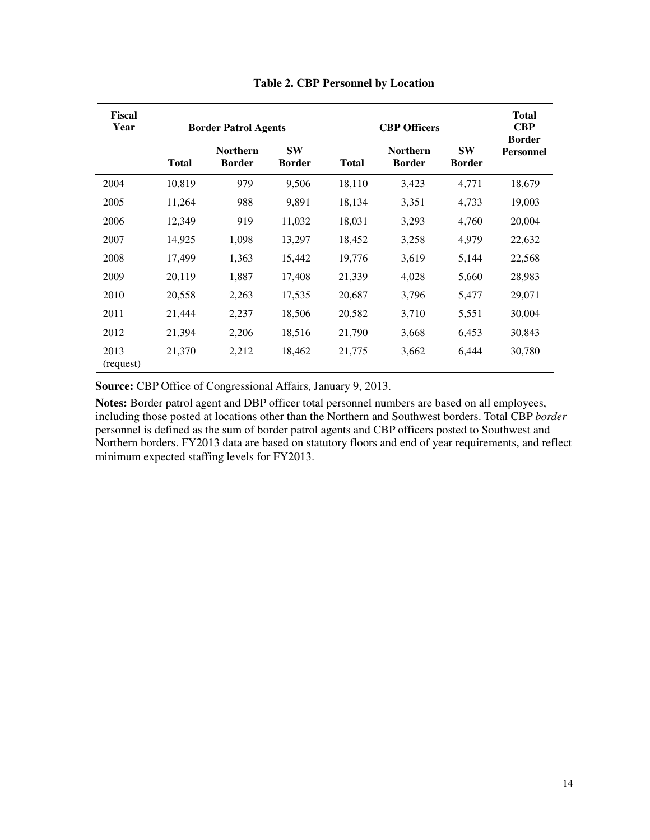| Fiscal<br>Year    |              | <b>Border Patrol Agents</b>      |                            |              | <b>Total</b><br><b>CBP</b>       |                            |                                   |
|-------------------|--------------|----------------------------------|----------------------------|--------------|----------------------------------|----------------------------|-----------------------------------|
|                   | <b>Total</b> | <b>Northern</b><br><b>Border</b> | <b>SW</b><br><b>Border</b> | <b>Total</b> | <b>Northern</b><br><b>Border</b> | <b>SW</b><br><b>Border</b> | <b>Border</b><br><b>Personnel</b> |
| 2004              | 10,819       | 979                              | 9,506                      | 18,110       | 3,423                            | 4,771                      | 18,679                            |
| 2005              | 11,264       | 988                              | 9,891                      | 18,134       | 3,351                            | 4,733                      | 19,003                            |
| 2006              | 12,349       | 919                              | 11,032                     | 18,031       | 3,293                            | 4,760                      | 20,004                            |
| 2007              | 14,925       | 1,098                            | 13,297                     | 18,452       | 3,258                            | 4,979                      | 22,632                            |
| 2008              | 17,499       | 1,363                            | 15,442                     | 19,776       | 3,619                            | 5,144                      | 22,568                            |
| 2009              | 20,119       | 1,887                            | 17,408                     | 21,339       | 4,028                            | 5,660                      | 28,983                            |
| 2010              | 20,558       | 2,263                            | 17,535                     | 20,687       | 3,796                            | 5,477                      | 29,071                            |
| 2011              | 21,444       | 2,237                            | 18,506                     | 20,582       | 3,710                            | 5,551                      | 30,004                            |
| 2012              | 21,394       | 2,206                            | 18,516                     | 21,790       | 3,668                            | 6,453                      | 30,843                            |
| 2013<br>(request) | 21,370       | 2,212                            | 18,462                     | 21,775       | 3,662                            | 6,444                      | 30,780                            |

**Table 2. CBP Personnel by Location** 

**Source:** CBP Office of Congressional Affairs, January 9, 2013.

**Notes:** Border patrol agent and DBP officer total personnel numbers are based on all employees, including those posted at locations other than the Northern and Southwest borders. Total CBP *border* personnel is defined as the sum of border patrol agents and CBP officers posted to Southwest and Northern borders. FY2013 data are based on statutory floors and end of year requirements, and reflect minimum expected staffing levels for FY2013.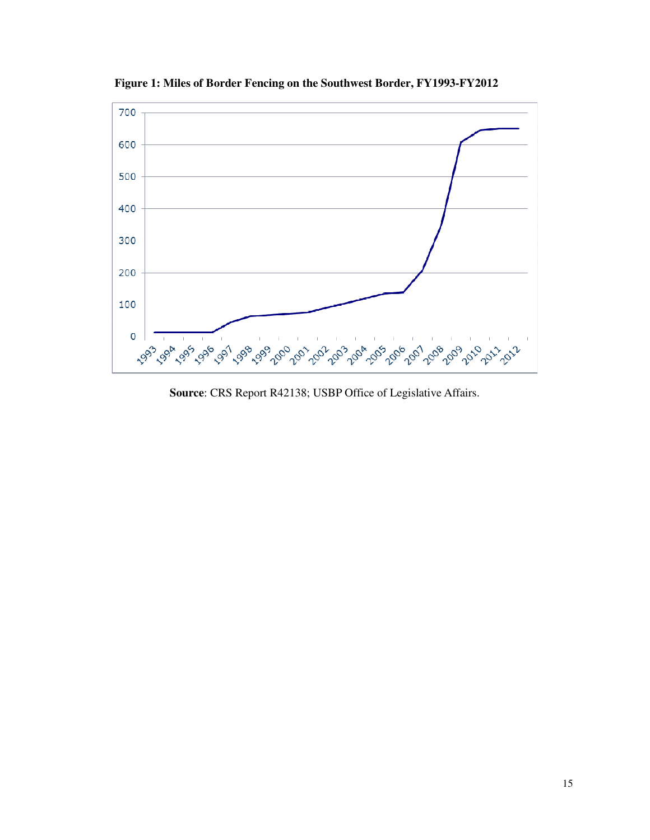

**Figure 1: Miles of Border Fencing on the Southwest Border, FY1993-FY2012** 

**Source**: CRS Report R42138; USBP Office of Legislative Affairs.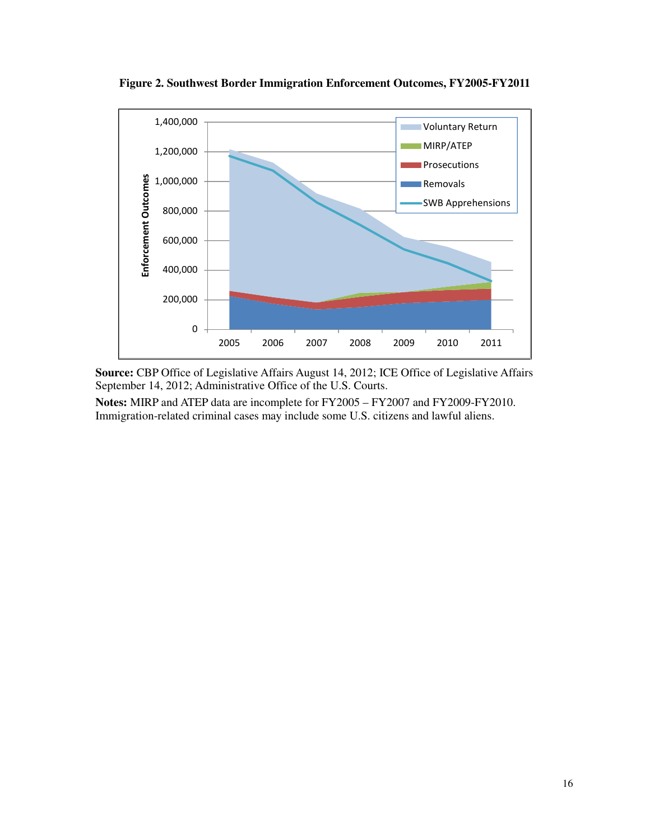

**Figure 2. Southwest Border Immigration Enforcement Outcomes, FY2005-FY2011** 

**Source:** CBP Office of Legislative Affairs August 14, 2012; ICE Office of Legislative Affairs September 14, 2012; Administrative Office of the U.S. Courts.

**Notes:** MIRP and ATEP data are incomplete for FY2005 – FY2007 and FY2009-FY2010. Immigration-related criminal cases may include some U.S. citizens and lawful aliens.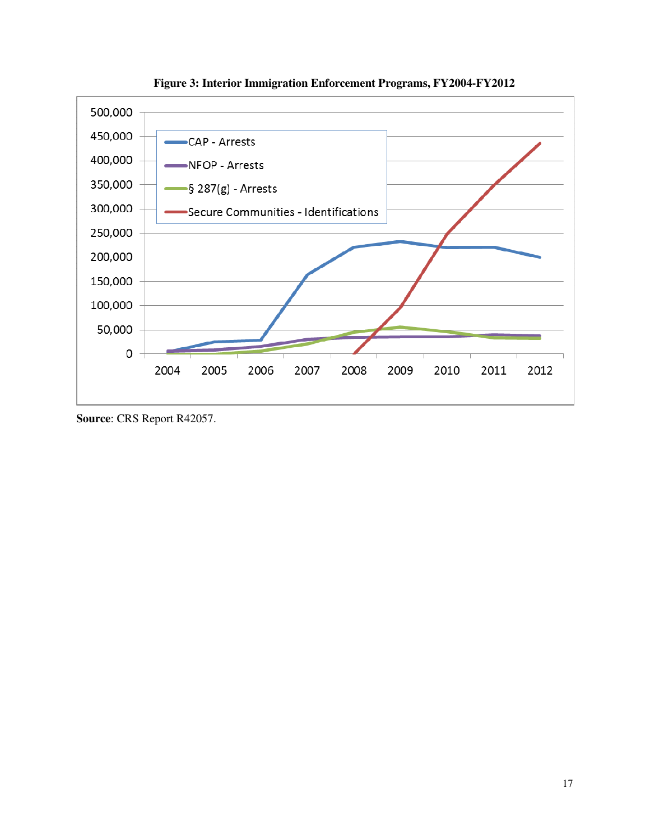

**Figure 3: Interior Immigration Enforcement Programs, FY2004-FY2012**

**Source**: CRS Report R42057.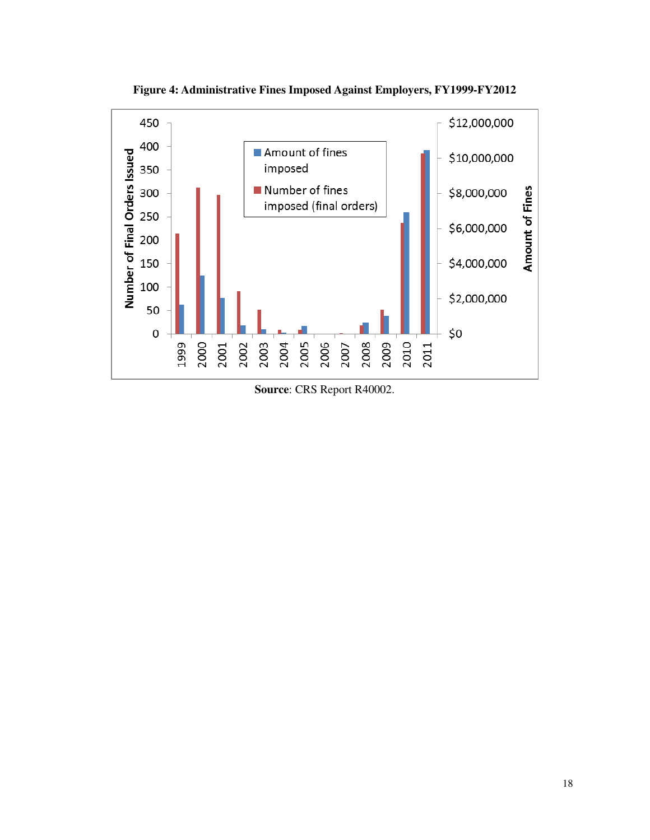

**Figure 4: Administrative Fines Imposed Against Employers, FY1999-FY2012**

**Source**: CRS Report R40002.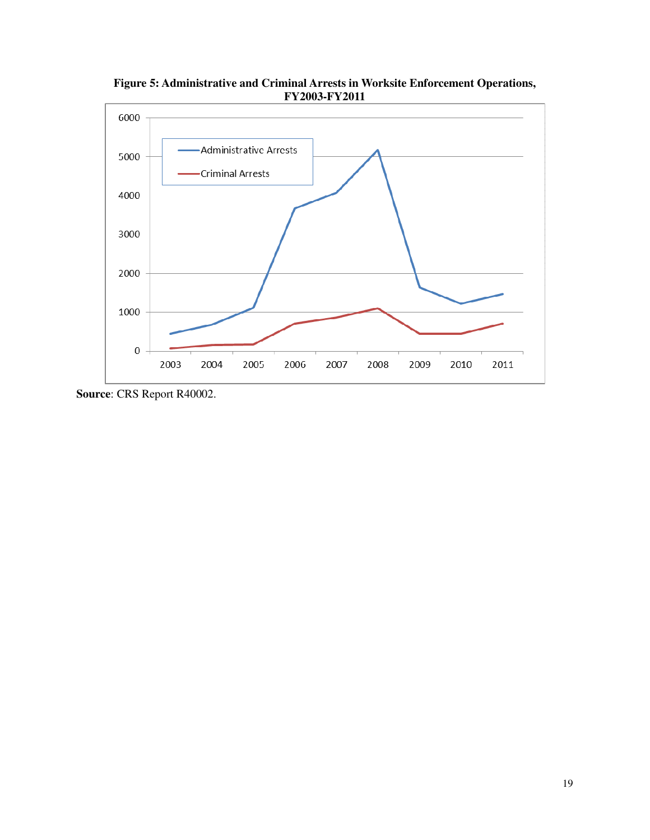

**Figure 5: Administrative and Criminal Arrests in Worksite Enforcement Operations,**

**Source**: CRS Report R40002.

 $\boldsymbol{0}$